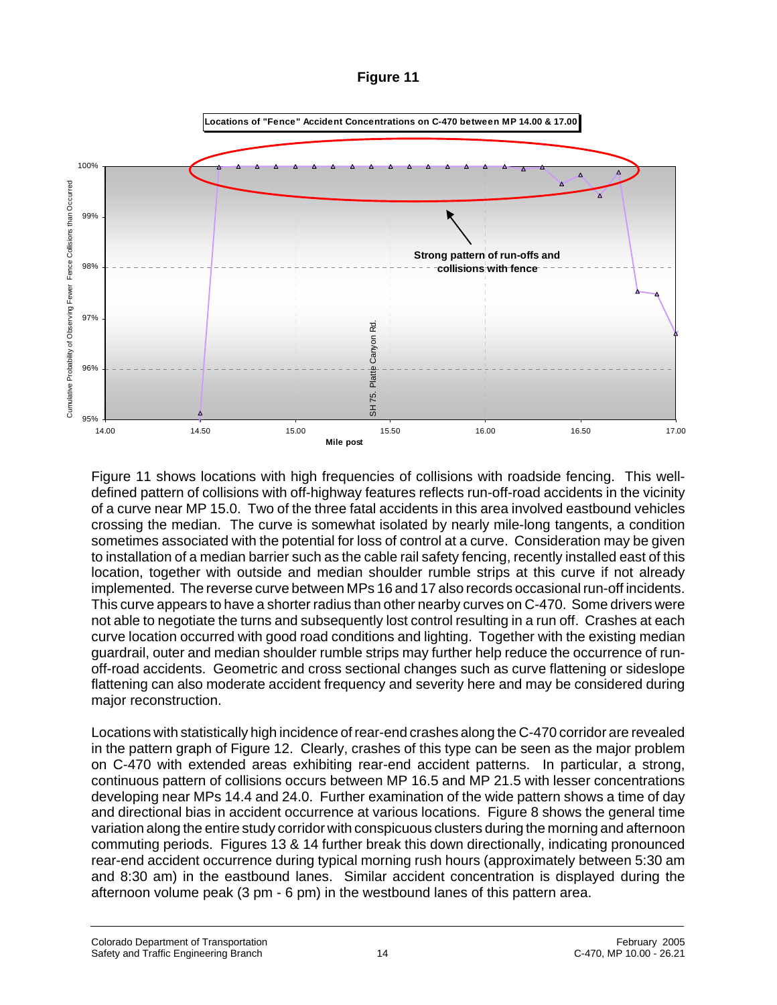## **Figure 11**



Figure 11 shows locations with high frequencies of collisions with roadside fencing. This welldefined pattern of collisions with off-highway features reflects run-off-road accidents in the vicinity of a curve near MP 15.0. Two of the three fatal accidents in this area involved eastbound vehicles crossing the median. The curve is somewhat isolated by nearly mile-long tangents, a condition sometimes associated with the potential for loss of control at a curve. Consideration may be given to installation of a median barrier such as the cable rail safety fencing, recently installed east of this location, together with outside and median shoulder rumble strips at this curve if not already implemented. The reverse curve between MPs 16 and 17 also records occasional run-off incidents. This curve appears to have a shorter radius than other nearby curves on C-470. Some drivers were not able to negotiate the turns and subsequently lost control resulting in a run off. Crashes at each curve location occurred with good road conditions and lighting. Together with the existing median guardrail, outer and median shoulder rumble strips may further help reduce the occurrence of runoff-road accidents. Geometric and cross sectional changes such as curve flattening or sideslope flattening can also moderate accident frequency and severity here and may be considered during major reconstruction.

Locations with statistically high incidence of rear-end crashes along the C-470 corridor are revealed in the pattern graph of Figure 12. Clearly, crashes of this type can be seen as the major problem on C-470 with extended areas exhibiting rear-end accident patterns. In particular, a strong, continuous pattern of collisions occurs between MP 16.5 and MP 21.5 with lesser concentrations developing near MPs 14.4 and 24.0. Further examination of the wide pattern shows a time of day and directional bias in accident occurrence at various locations. Figure 8 shows the general time variation along the entire study corridor with conspicuous clusters during the morning and afternoon commuting periods. Figures 13 & 14 further break this down directionally, indicating pronounced rear-end accident occurrence during typical morning rush hours (approximately between 5:30 am and 8:30 am) in the eastbound lanes. Similar accident concentration is displayed during the afternoon volume peak (3 pm - 6 pm) in the westbound lanes of this pattern area.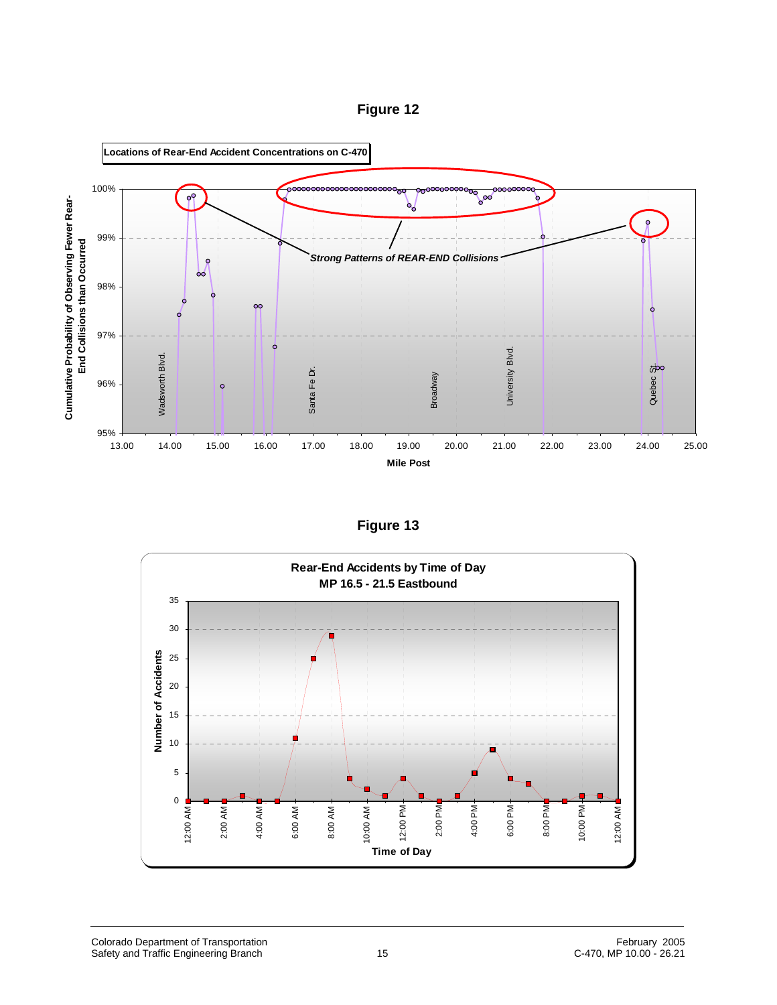



**Figure 13**

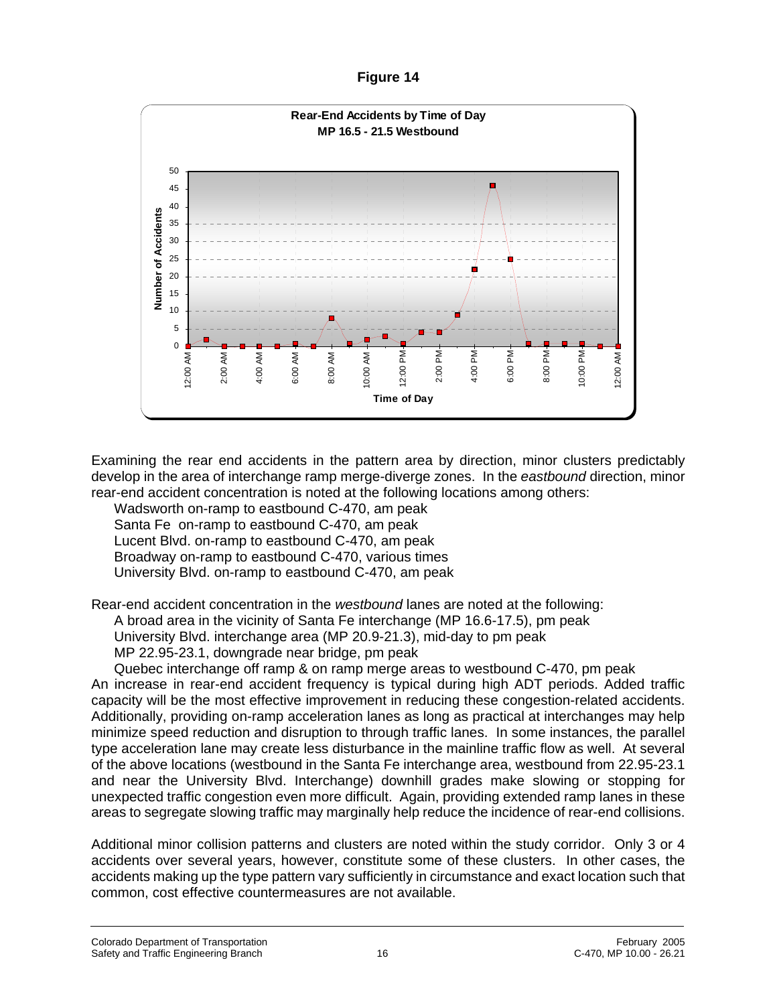**Figure 14**



Examining the rear end accidents in the pattern area by direction, minor clusters predictably develop in the area of interchange ramp merge-diverge zones. In the *eastbound* direction, minor rear-end accident concentration is noted at the following locations among others:

Wadsworth on-ramp to eastbound C-470, am peak

Santa Fe on-ramp to eastbound C-470, am peak

Lucent Blvd. on-ramp to eastbound C-470, am peak

Broadway on-ramp to eastbound C-470, various times

University Blvd. on-ramp to eastbound C-470, am peak

Rear-end accident concentration in the *westbound* lanes are noted at the following:

A broad area in the vicinity of Santa Fe interchange (MP 16.6-17.5), pm peak

University Blvd. interchange area (MP 20.9-21.3), mid-day to pm peak

MP 22.95-23.1, downgrade near bridge, pm peak

Quebec interchange off ramp & on ramp merge areas to westbound C-470, pm peak An increase in rear-end accident frequency is typical during high ADT periods. Added traffic capacity will be the most effective improvement in reducing these congestion-related accidents. Additionally, providing on-ramp acceleration lanes as long as practical at interchanges may help minimize speed reduction and disruption to through traffic lanes. In some instances, the parallel type acceleration lane may create less disturbance in the mainline traffic flow as well. At several of the above locations (westbound in the Santa Fe interchange area, westbound from 22.95-23.1 and near the University Blvd. Interchange) downhill grades make slowing or stopping for unexpected traffic congestion even more difficult. Again, providing extended ramp lanes in these areas to segregate slowing traffic may marginally help reduce the incidence of rear-end collisions.

Additional minor collision patterns and clusters are noted within the study corridor. Only 3 or 4 accidents over several years, however, constitute some of these clusters. In other cases, the accidents making up the type pattern vary sufficiently in circumstance and exact location such that common, cost effective countermeasures are not available.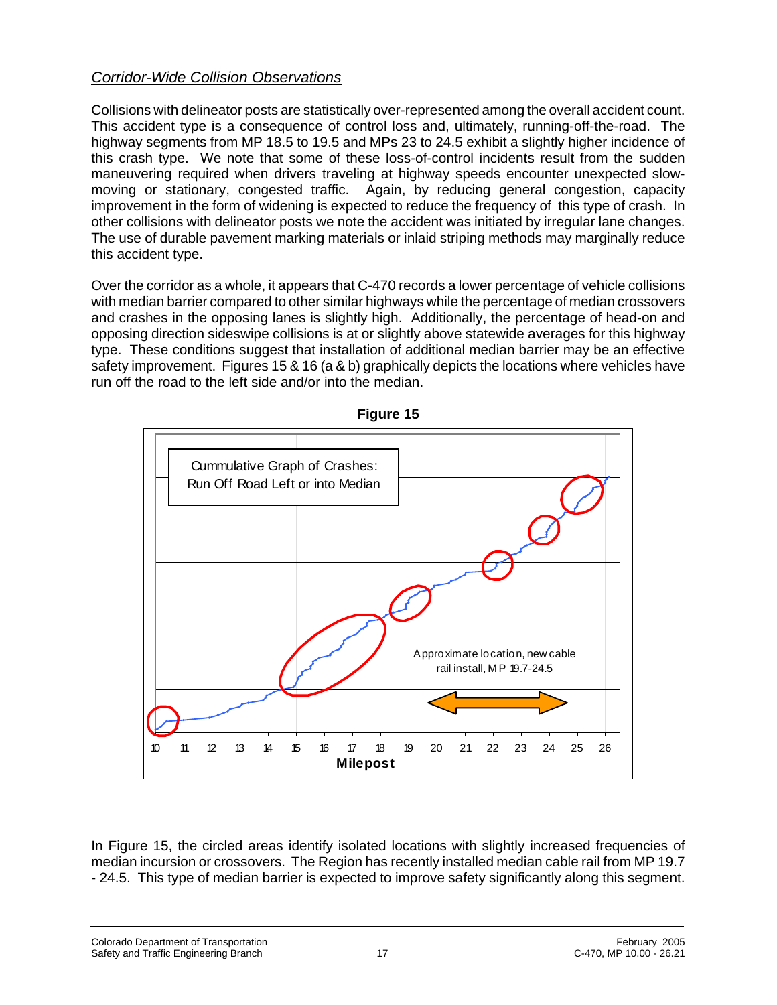## *Corridor-Wide Collision Observations*

Collisions with delineator posts are statistically over-represented among the overall accident count. This accident type is a consequence of control loss and, ultimately, running-off-the-road. The highway segments from MP 18.5 to 19.5 and MPs 23 to 24.5 exhibit a slightly higher incidence of this crash type. We note that some of these loss-of-control incidents result from the sudden maneuvering required when drivers traveling at highway speeds encounter unexpected slowmoving or stationary, congested traffic. Again, by reducing general congestion, capacity improvement in the form of widening is expected to reduce the frequency of this type of crash. In other collisions with delineator posts we note the accident was initiated by irregular lane changes. The use of durable pavement marking materials or inlaid striping methods may marginally reduce this accident type.

Over the corridor as a whole, it appears that C-470 records a lower percentage of vehicle collisions with median barrier compared to other similar highways while the percentage of median crossovers and crashes in the opposing lanes is slightly high. Additionally, the percentage of head-on and opposing direction sideswipe collisions is at or slightly above statewide averages for this highway type. These conditions suggest that installation of additional median barrier may be an effective safety improvement. Figures 15 & 16 (a & b) graphically depicts the locations where vehicles have run off the road to the left side and/or into the median.



**Figure 15**

In Figure 15, the circled areas identify isolated locations with slightly increased frequencies of median incursion or crossovers. The Region has recently installed median cable rail from MP 19.7 - 24.5. This type of median barrier is expected to improve safety significantly along this segment.